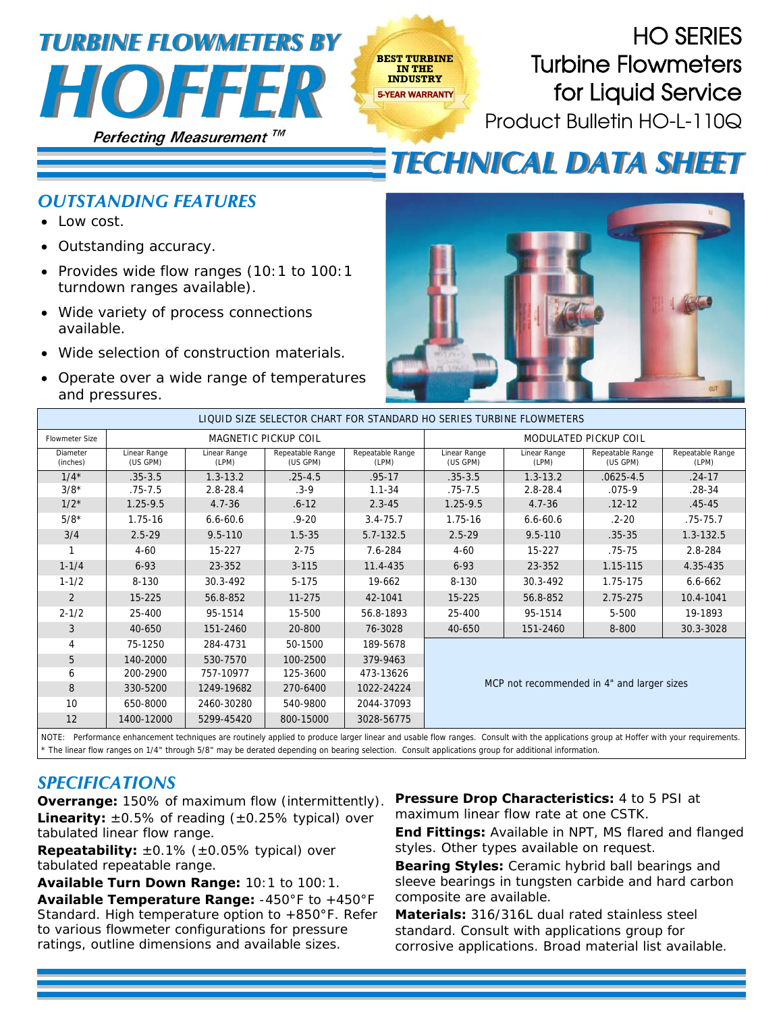## **Perfecting Measurement**  *HOFFER TURBINE FLOWMETERS BY*

HO SERIES Turbine Flowmeters for Liquid Service Product Bulletin HO-L-110Q

## *TECHNICAL DATA SHEET*

## *OUTSTANDING FEATURES*

- Low cost.
- Outstanding accuracy.
- Provides wide flow ranges (10:1 to 100:1 turndown ranges available).
- Wide variety of process connections available.
- Wide selection of construction materials.
- Operate over a wide range of temperatures and pressures.



| LIQUID SIZE SELECTOR CHART FOR STANDARD HO SERIES TURBINE FLOWMETERS                                                                                                                 |                          |                       |                              |                           |                                            |                       |                              |                           |  |
|--------------------------------------------------------------------------------------------------------------------------------------------------------------------------------------|--------------------------|-----------------------|------------------------------|---------------------------|--------------------------------------------|-----------------------|------------------------------|---------------------------|--|
| <b>Flowmeter Size</b>                                                                                                                                                                | MAGNETIC PICKUP COIL     |                       |                              |                           | <b>MODULATED PICKUP COIL</b>               |                       |                              |                           |  |
| Diameter<br>(inches)                                                                                                                                                                 | Linear Range<br>(US GPM) | Linear Range<br>(LPM) | Repeatable Range<br>(US GPM) | Repeatable Range<br>(LPM) | Linear Range<br>(US GPM)                   | Linear Range<br>(LPM) | Repeatable Range<br>(US GPM) | Repeatable Range<br>(LPM) |  |
| $1/4*$                                                                                                                                                                               | $.35 - 3.5$              | $1.3 - 13.2$          | $.25 - 4.5$                  | $.95 - 17$                | $.35 - 3.5$                                | $1.3 - 13.2$          | $.0625 - 4.5$                | $.24 - 17$                |  |
| $3/8*$                                                                                                                                                                               | $.75 - 7.5$              | $2.8 - 28.4$          | $.3 - 9$                     | $1.1 - 34$                | $.75 - 7.5$                                | $2.8 - 28.4$          | $.075-9$                     | $.28 - 34$                |  |
| $1/2*$                                                                                                                                                                               | $1.25 - 9.5$             | $4.7 - 36$            | $.6 - 12$                    | $2.3 - 45$                | $1.25 - 9.5$                               | $4.7 - 36$            | $.12 - 12$                   | $.45 - 45$                |  |
| $5/8*$                                                                                                                                                                               | 1.75-16                  | $6.6 - 60.6$          | $.9 - 20$                    | $3.4 - 75.7$              | 1.75-16                                    | $6.6 - 60.6$          | .2-20                        | $.75 - 75.7$              |  |
| 3/4                                                                                                                                                                                  | $2.5 - 29$               | $9.5 - 110$           | $1.5 - 35$                   | 5.7-132.5                 | $2.5 - 29$                                 | $9.5 - 110$           | $.35 - 35$                   | $1.3 - 132.5$             |  |
|                                                                                                                                                                                      | $4 - 60$                 | 15-227                | $2 - 75$                     | 7.6-284                   | $4 - 60$                                   | 15-227                | $.75 - 75$                   | 2.8-284                   |  |
| $1 - 1/4$                                                                                                                                                                            | $6 - 93$                 | 23-352                | $3 - 115$                    | 11.4-435                  | $6 - 93$                                   | 23-352                | 1.15-115                     | 4.35-435                  |  |
| $1 - 1/2$                                                                                                                                                                            | 8-130                    | 30.3-492              | 5-175                        | 19-662                    | 8-130                                      | 30.3-492              | 1.75-175                     | $6.6 - 662$               |  |
| 2                                                                                                                                                                                    | $15 - 225$               | 56.8-852              | 11-275                       | 42-1041                   | 15-225                                     | 56.8-852              | 2.75-275                     | 10.4-1041                 |  |
| $2 - 1/2$                                                                                                                                                                            | 25-400                   | 95-1514               | 15-500                       | 56.8-1893                 | 25-400                                     | 95-1514               | 5-500                        | 19-1893                   |  |
| 3                                                                                                                                                                                    | 40-650                   | 151-2460              | 20-800                       | 76-3028                   | 40-650                                     | 151-2460              | 8-800                        | 30.3-3028                 |  |
| 4                                                                                                                                                                                    | 75-1250                  | 284-4731              | 50-1500                      | 189-5678                  | MCP not recommended in 4" and larger sizes |                       |                              |                           |  |
| 5                                                                                                                                                                                    | 140-2000                 | 530-7570              | 100-2500                     | 379-9463                  |                                            |                       |                              |                           |  |
| 6                                                                                                                                                                                    | 200-2900                 | 757-10977             | 125-3600                     | 473-13626                 |                                            |                       |                              |                           |  |
| 8                                                                                                                                                                                    | 330-5200                 | 1249-19682            | 270-6400                     | 1022-24224                |                                            |                       |                              |                           |  |
| 10                                                                                                                                                                                   | 650-8000                 | 2460-30280            | 540-9800                     | 2044-37093                |                                            |                       |                              |                           |  |
| 12                                                                                                                                                                                   | 1400-12000               | 5299-45420            | 800-15000                    | 3028-56775                |                                            |                       |                              |                           |  |
| NOTE: Decformance ephancement tochniques are routinely applied to produce larger linear and usable flow ranges. Consult with the applications group at Hoffer with your requirements |                          |                       |                              |                           |                                            |                       |                              |                           |  |

**BEST TURBINE IN THE INDUSTRY** 5-YEAR WARRANTY

are routinely applied to produce larger linear and usable flow ranges. Consult with the appl \* The linear flow ranges on 1/4" through 5/8" may be derated depending on bearing selection. Consult applications group for additional information.

## *SPECIFICATIONS*

**Overrange:** 150% of maximum flow (intermittently). **Linearity:**  $\pm 0.5\%$  of reading  $(\pm 0.25\%$  typical) over tabulated linear flow range.

**Repeatability:** ±0.1% (±0.05% typical) over tabulated repeatable range.

**Available Turn Down Range:** 10:1 to 100:1. **Available Temperature Range:** -450°F to +450°F Standard. High temperature option to +850°F. Refer to various flowmeter configurations for pressure ratings, outline dimensions and available sizes.

**Pressure Drop Characteristics:** 4 to 5 PSI at maximum linear flow rate at one CSTK.

**End Fittings:** Available in NPT, MS flared and flanged styles. Other types available on request.

**Bearing Styles:** Ceramic hybrid ball bearings and sleeve bearings in tungsten carbide and hard carbon composite are available.

**Materials:** 316/316L dual rated stainless steel standard. Consult with applications group for corrosive applications. Broad material list available.